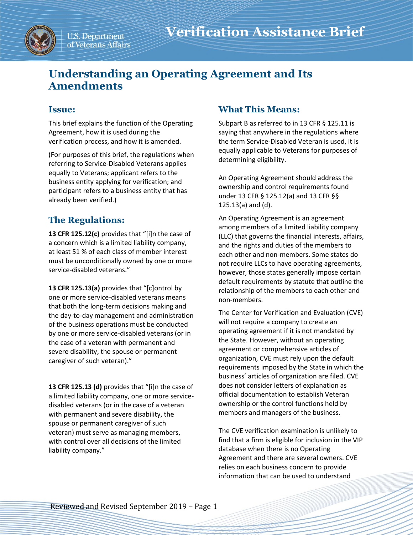

U.S. Department of Veterans Affairs

# **Understanding an Operating Agreement and Its Amendments**

### **Issue:**

This brief explains the function of the Operating Agreement, how it is used during the verification process, and how it is amended.

(For purposes of this brief, the regulations when referring to Service-Disabled Veterans applies equally to Veterans; applicant refers to the business entity applying for verification; and participant refers to a business entity that has already been verified.)

## **The Regulations:**

**13 CFR 125.12(c)** provides that "[i]n the case of a concern which is a limited liability company, at least 51 % of each class of member interest must be unconditionally owned by one or more service-disabled veterans."

**13 CFR 125.13(a)** provides that "[c]ontrol by one or more service-disabled veterans means that both the long-term decisions making and the day-to-day management and administration of the business operations must be conducted by one or more service-disabled veterans (or in the case of a veteran with permanent and severe disability, the spouse or permanent caregiver of such veteran)."

**13 CFR 125.13 (d)** provides that "[i]n the case of a limited liability company, one or more servicedisabled veterans (or in the case of a veteran with permanent and severe disability, the spouse or permanent caregiver of such veteran) must serve as managing members, with control over all decisions of the limited liability company."

### **What This Means:**

Subpart B as referred to in 13 CFR § 125.11 is saying that anywhere in the regulations where the term Service-Disabled Veteran is used, it is equally applicable to Veterans for purposes of determining eligibility.

An Operating Agreement should address the ownership and control requirements found under 13 CFR § 125.12(a) and 13 CFR §§ 125.13(a) and (d).

An Operating Agreement is an agreement among members of a limited liability company (LLC) that governs the financial interests, affairs, and the rights and duties of the members to each other and non-members. Some states do not require LLCs to have operating agreements, however, those states generally impose certain default requirements by statute that outline the relationship of the members to each other and non-members.

The Center for Verification and Evaluation (CVE) will not require a company to create an operating agreement if it is not mandated by the State. However, without an operating agreement or comprehensive articles of organization, CVE must rely upon the default requirements imposed by the State in which the business' articles of organization are filed. CVE does not consider letters of explanation as official documentation to establish Veteran ownership or the control functions held by members and managers of the business.

The CVE verification examination is unlikely to find that a firm is eligible for inclusion in the VIP database when there is no Operating Agreement and there are several owners. CVE relies on each business concern to provide information that can be used to understand